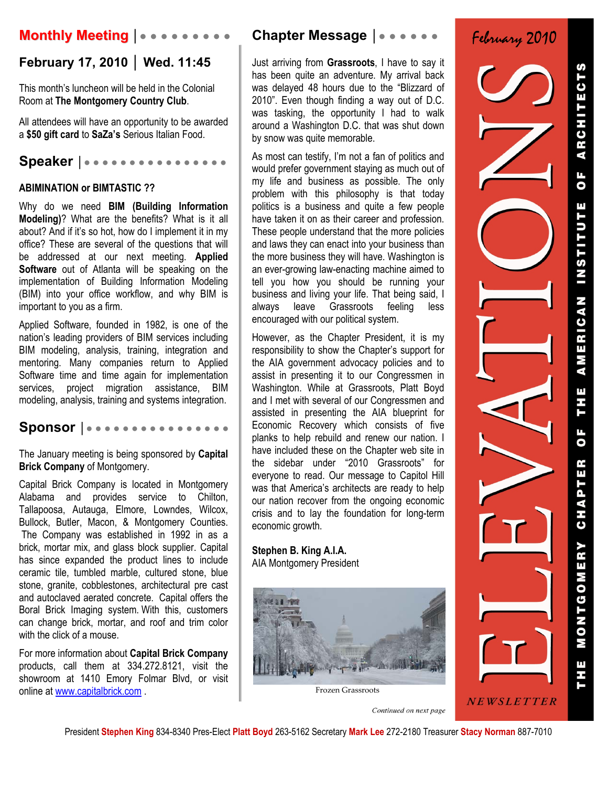# **Monthly Meeting │● ● ● ● ● ● ● ● ●**

## **February 17, 2010 │ Wed. 11:45**

This month's luncheon will be held in the Colonial Room at **The Montgomery Country Club**.

All attendees will have an opportunity to be awarded a **\$50 gift card** to **SaZa's** Serious Italian Food.

### **Speaker │● ● ● ● ● ● ● ● ● ● ● ● ● ● ● ●**

### **ABIMINATION or BIMTASTIC ??**

Why do we need **BIM (Building Information Modeling)**? What are the benefits? What is it all about? And if it's so hot, how do I implement it in my office? These are several of the questions that will be addressed at our next meeting. **Applied Software** out of Atlanta will be speaking on the implementation of Building Information Modeling (BIM) into your office workflow, and why BIM is important to you as a firm.

Applied Software, founded in 1982, is one of the nation's leading providers of BIM services including BIM modeling, analysis, training, integration and mentoring. Many companies return to Applied Software time and time again for implementation services, project migration assistance, BIM modeling, analysis, training and systems integration.

## **Sponsor │● ● ● ● ● ● ● ● ● ● ● ● ● ● ● ●**

The January meeting is being sponsored by **Capital Brick Company** of Montgomery.

Capital Brick Company is located in Montgomery Alabama and provides service to Chilton, Tallapoosa, Autauga, Elmore, Lowndes, Wilcox, Bullock, Butler, Macon, & Montgomery Counties. The Company was established in 1992 in as a brick, mortar mix, and glass block supplier. Capital has since expanded the product lines to include ceramic tile, tumbled marble, cultured stone, blue stone, granite, cobblestones, architectural pre cast and autoclaved aerated concrete. Capital offers the Boral Brick Imaging system. With this, customers can change brick, mortar, and roof and trim color with the click of a mouse.

For more information about **Capital Brick Company**  products, call them at 334.272.8121, visit the showroom at 1410 Emory Folmar Blvd, or visit online at www.capitalbrick.com .

## **Chapter Message │● ● ● ● ● ●**

Just arriving from **Grassroots**, I have to say it has been quite an adventure. My arrival back was delayed 48 hours due to the "Blizzard of 2010". Even though finding a way out of D.C. was tasking, the opportunity I had to walk around a Washington D.C. that was shut down by snow was quite memorable.

As most can testify, I'm not a fan of politics and would prefer government staying as much out of my life and business as possible. The only problem with this philosophy is that today politics is a business and quite a few people have taken it on as their career and profession. These people understand that the more policies and laws they can enact into your business than the more business they will have. Washington is an ever-growing law-enacting machine aimed to tell you how you should be running your business and living your life. That being said, I always leave Grassroots feeling less encouraged with our political system.

However, as the Chapter President, it is my responsibility to show the Chapter's support for the AIA government advocacy policies and to assist in presenting it to our Congressmen in Washington. While at Grassroots, Platt Boyd and I met with several of our Congressmen and assisted in presenting the AIA blueprint for Economic Recovery which consists of five planks to help rebuild and renew our nation. I have included these on the Chapter web site in the sidebar under "2010 Grassroots" for everyone to read. Our message to Capitol Hill was that America's architects are ready to help our nation recover from the ongoing economic crisis and to lay the foundation for long-term economic growth.

**Stephen B. King A.I.A.**  AIA Montgomery President



Frozen Grassroots

Continued on next page



NEWSLETTER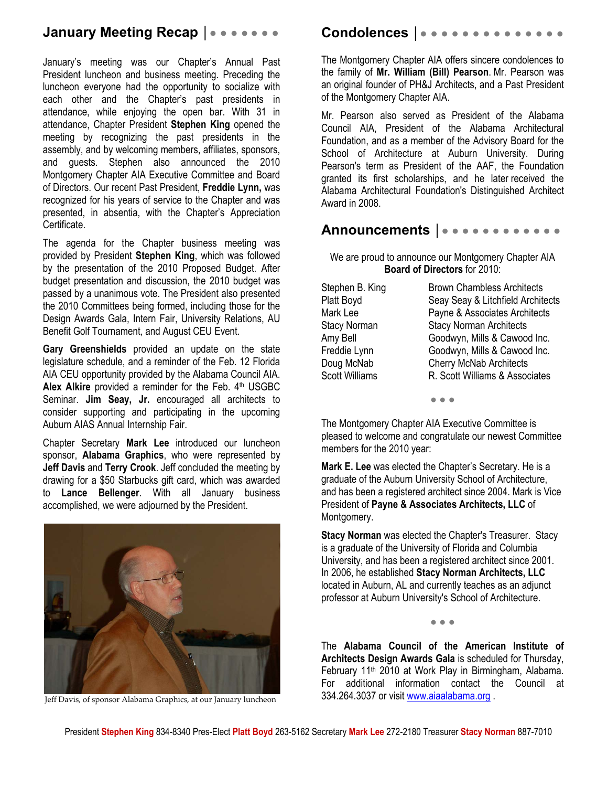## **January Meeting Recap | ● ● ● ● ● ● ●**

January's meeting was our Chapter's Annual Past President luncheon and business meeting. Preceding the luncheon everyone had the opportunity to socialize with each other and the Chapter's past presidents in attendance, while enjoying the open bar. With 31 in attendance, Chapter President **Stephen King** opened the meeting by recognizing the past presidents in the assembly, and by welcoming members, affiliates, sponsors, and guests. Stephen also announced the 2010 Montgomery Chapter AIA Executive Committee and Board of Directors. Our recent Past President, **Freddie Lynn,** was recognized for his years of service to the Chapter and was presented, in absentia, with the Chapter's Appreciation Certificate.

The agenda for the Chapter business meeting was provided by President **Stephen King**, which was followed by the presentation of the 2010 Proposed Budget. After budget presentation and discussion, the 2010 budget was passed by a unanimous vote. The President also presented the 2010 Committees being formed, including those for the Design Awards Gala, Intern Fair, University Relations, AU Benefit Golf Tournament, and August CEU Event.

**Gary Greenshields** provided an update on the state legislature schedule, and a reminder of the Feb. 12 Florida AIA CEU opportunity provided by the Alabama Council AIA. Alex Alkire provided a reminder for the Feb. 4<sup>th</sup> USGBC Seminar. **Jim Seay, Jr.** encouraged all architects to consider supporting and participating in the upcoming Auburn AIAS Annual Internship Fair.

Chapter Secretary **Mark Lee** introduced our luncheon sponsor, **Alabama Graphics**, who were represented by **Jeff Davis** and **Terry Crook**. Jeff concluded the meeting by drawing for a \$50 Starbucks gift card, which was awarded to **Lance Bellenger**. With all January business accomplished, we were adjourned by the President.



Jeff Davis, of sponsor Alabama Graphics, at our January luncheon

## **Condolences │**● ● ● ● ● ● ● ● ● ● ● ● ● ●

The Montgomery Chapter AIA offers sincere condolences to the family of **Mr. William (Bill) Pearson**. Mr. Pearson was an original founder of PH&J Architects, and a Past President of the Montgomery Chapter AIA.

Mr. Pearson also served as President of the Alabama Council AIA, President of the Alabama Architectural Foundation, and as a member of the Advisory Board for the School of Architecture at Auburn University. During Pearson's term as President of the AAF, the Foundation granted its first scholarships, and he later received the Alabama Architectural Foundation's Distinguished Architect Award in 2008.

## **Announcements │**● ● ● ● ● ● ● ● ● ● ● ●

We are proud to announce our Montgomery Chapter AIA **Board of Directors** for 2010:

| Stephen B. King<br>Platt Boyd<br>Mark Lee<br>Stacy Norman<br>Amy Bell | <b>Brown Chambless Architects</b><br>Seay Seay & Litchfield Architects<br>Payne & Associates Architects<br><b>Stacy Norman Architects</b><br>Goodwyn, Mills & Cawood Inc. |
|-----------------------------------------------------------------------|---------------------------------------------------------------------------------------------------------------------------------------------------------------------------|
|                                                                       |                                                                                                                                                                           |
|                                                                       |                                                                                                                                                                           |
| Freddie Lynn                                                          | Goodwyn, Mills & Cawood Inc.                                                                                                                                              |
| Doug McNab                                                            | <b>Cherry McNab Architects</b>                                                                                                                                            |
| <b>Scott Williams</b>                                                 | R. Scott Williams & Associates                                                                                                                                            |
|                                                                       |                                                                                                                                                                           |

● ● ●

The Montgomery Chapter AIA Executive Committee is pleased to welcome and congratulate our newest Committee members for the 2010 year:

**Mark E. Lee** was elected the Chapter's Secretary. He is a graduate of the Auburn University School of Architecture, and has been a registered architect since 2004. Mark is Vice President of **Payne & Associates Architects, LLC** of Montgomery.

**Stacy Norman** was elected the Chapter's Treasurer. Stacy is a graduate of the University of Florida and Columbia University, and has been a registered architect since 2001. In 2006, he established **Stacy Norman Architects, LLC** located in Auburn, AL and currently teaches as an adjunct professor at Auburn University's School of Architecture.

● ● ●

The **Alabama Council of the American Institute of Architects Design Awards Gala** is scheduled for Thursday, February 11th 2010 at Work Play in Birmingham, Alabama. For additional information contact the Council at 334.264.3037 or visit www.aiaalabama.org .